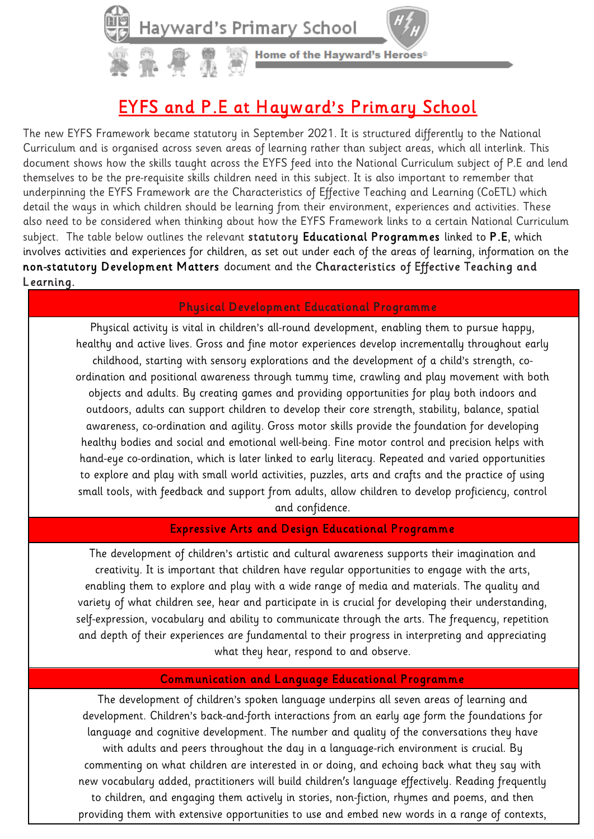Home of the Hayward's Heroes®

# EYFS and P.E at Hayward's Primary School

The new EYFS Framework became statutory in September 2021. It is structured differently to the National Curriculum and is organised across seven areas of learning rather than subject areas, which all interlink. This document shows how the skills taught across the EYFS feed into the National Curriculum subject of P.E and lend themselves to be the pre-requisite skills children need in this subject. It is also important to remember that underpinning the EYFS Framework are the Characteristics of Effective Teaching and Learning (CoETL) which detail the ways in which children should be learning from their environment, experiences and activities. These also need to be considered when thinking about how the EYFS Framework links to a certain National Curriculum subject. The table below outlines the relevant statutory Educational Programmes linked to P.E, which involves activities and experiences for children, as set out under each of the areas of learning, information on the non-statutory Development Matters document and the Characteristics of Effective Teaching and Learning.

### Physical Development Educational Programme

Physical activity is vital in children's all-round development, enabling them to pursue happy, healthy and active lives. Gross and fine motor experiences develop incrementally throughout early childhood, starting with sensory explorations and the development of a child's strength, coordination and positional awareness through tummy time, crawling and play movement with both objects and adults. By creating games and providing opportunities for play both indoors and outdoors, adults can support children to develop their core strength, stability, balance, spatial awareness, co-ordination and agility. Gross motor skills provide the foundation for developing healthy bodies and social and emotional well-being. Fine motor control and precision helps with hand-eye co-ordination, which is later linked to early literacy. Repeated and varied opportunities to explore and play with small world activities, puzzles, arts and crafts and the practice of using small tools, with feedback and support from adults, allow children to develop proficiency, control and confidence.

# Expressive Arts and Design Educational Programme

The development of children's artistic and cultural awareness supports their imagination and creativity. It is important that children have regular opportunities to engage with the arts, enabling them to explore and play with a wide range of media and materials. The quality and variety of what children see, hear and participate in is crucial for developing their understanding, self-expression, vocabulary and ability to communicate through the arts. The frequency, repetition and depth of their experiences are fundamental to their progress in interpreting and appreciating what they hear, respond to and observe.

#### Communication and Language Educational Programme

The development of children's spoken language underpins all seven areas of learning and development. Children's back-and-forth interactions from an early age form the foundations for language and cognitive development. The number and quality of the conversations they have with adults and peers throughout the day in a language-rich environment is crucial. By commenting on what children are interested in or doing, and echoing back what they say with new vocabulary added, practitioners will build children's language effectively. Reading frequently to children, and engaging them actively in stories, non-fiction, rhymes and poems, and then providing them with extensive opportunities to use and embed new words in a range of contexts,